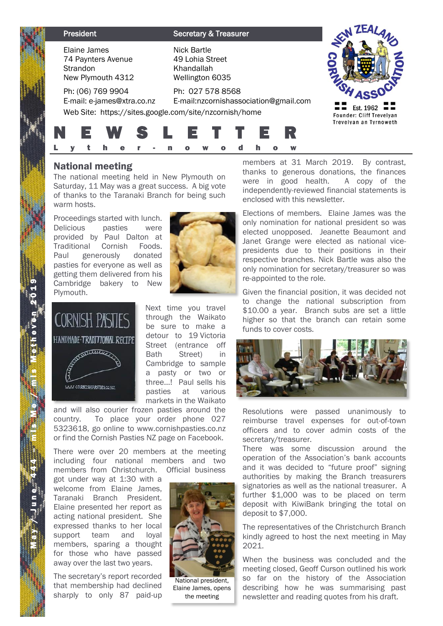| <b>President</b>                                                    | <b>Secretary &amp; Treasurer</b>                                       |                                                                 |
|---------------------------------------------------------------------|------------------------------------------------------------------------|-----------------------------------------------------------------|
| Elaine James<br>74 Paynters Avenue<br>Strandon<br>New Plymouth 4312 | <b>Nick Bartle</b><br>49 Lohia Street<br>Khandallah<br>Wellington 6035 |                                                                 |
| Ph: (06) 769 9904<br>E-mail: e-james@xtra.co.nz                     | Ph: 027 578 8568<br>E-mail:nzcornishassociation@gmail.com              |                                                                 |
| Web Site: https://sites.google.com/site/nzcornish/home<br>WS S      | L E T T .<br>12 R                                                      | Est. 1962<br>Founder: Cliff Trevelyan<br>Trevelyan an Tyrnoweth |
|                                                                     |                                                                        |                                                                 |

# National meeting

The national meeting held in New Plymouth on Saturday, 11 May was a great success. A big vote of thanks to the Taranaki Branch for being such warm hosts.

Proceedings started with lunch. Delicious pasties were provided by Paul Dalton at Traditional Cornish Foods. Paul generously donated pasties for everyone as well as getting them delivered from his Cambridge bakery to New Plymouth.



Next time you travel through the Waikato be sure to make a detour to 19 Victoria Street (entrance off Bath Street) in Cambridge to sample a pasty or two or three…! Paul sells his pasties at various markets in the Waikato

and will also courier frozen pasties around the country. To place your order phone 027 5323618, go online to www.cornishpasties.co.nz or find the Cornish Pasties NZ page on Facebook.

There were over 20 members at the meeting including four national members and two members from Christchurch. Official business

got under way at 1:30 with a welcome from Elaine James, Taranaki Branch President. Elaine presented her report as acting national president. She expressed thanks to her local support team and loyal members, sparing a thought for those who have passed away over the last two years.

The secretary's report recorded that membership had declined sharply to only 87 paid-up



National president, Elaine James, opens the meeting

members at 31 March 2019. By contrast, thanks to generous donations, the finances were in good health. A copy of the independently-reviewed financial statements is enclosed with this newsletter.

Elections of members. Elaine James was the only nomination for national president so was elected unopposed. Jeanette Beaumont and Janet Grange were elected as national vicepresidents due to their positions in their respective branches. Nick Bartle was also the only nomination for secretary/treasurer so was re-appointed to the role.

Given the financial position, it was decided not to change the national subscription from \$10.00 a year. Branch subs are set a little higher so that the branch can retain some funds to cover costs.



Resolutions were passed unanimously to reimburse travel expenses for out-of-town officers and to cover admin costs of the secretary/treasurer.

There was some discussion around the operation of the Association's bank accounts and it was decided to "future proof" signing authorities by making the Branch treasurers signatories as well as the national treasurer. A further \$1,000 was to be placed on term deposit with KiwiBank bringing the total on deposit to \$7,000.

The representatives of the Christchurch Branch kindly agreed to host the next meeting in May 2021.

When the business was concluded and the meeting closed, Geoff Curson outlined his work so far on the history of the Association describing how he was summarising past newsletter and reading quotes from his draft.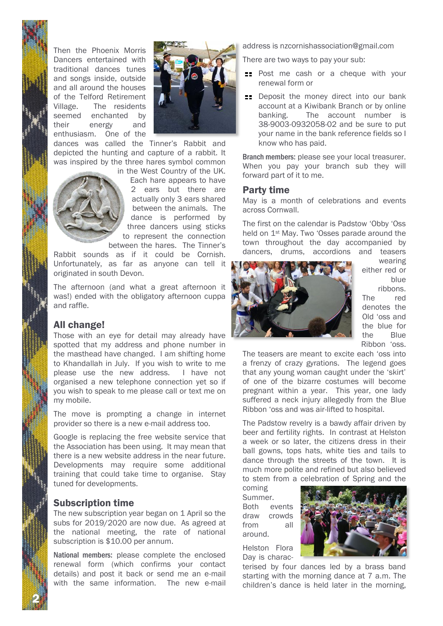Then the Phoenix Morris Dancers entertained with traditional dances tunes and songs inside, outside and all around the houses of the Telford Retirement Village. The residents seemed enchanted by their energy and enthusiasm. One of the



dances was called the Tinner's Rabbit and depicted the hunting and capture of a rabbit. It was inspired by the three hares symbol common



in the West Country of the UK. Each hare appears to have 2 ears but there are actually only 3 ears shared between the animals. The dance is performed by three dancers using sticks to represent the connection between the hares. The Tinner's

Rabbit sounds as if it could be Cornish. Unfortunately, as far as anyone can tell it originated in south Devon.

The afternoon (and what a great afternoon it was!) ended with the obligatory afternoon cuppa and raffle.

### All change!

Those with an eye for detail may already have spotted that my address and phone number in the masthead have changed. I am shifting home to Khandallah in July. If you wish to write to me please use the new address. I have not organised a new telephone connection yet so if you wish to speak to me please call or text me on my mobile.

The move is prompting a change in internet provider so there is a new e-mail address too.

Google is replacing the free website service that the Association has been using. It may mean that there is a new website address in the near future. Developments may require some additional training that could take time to organise. Stay tuned for developments.

# Subscription time

2 N

The new subscription year began on 1 April so the subs for 2019/2020 are now due. As agreed at the national meeting, the rate of national subscription is \$10.00 per annum.

National members: please complete the enclosed renewal form (which confirms your contact details) and post it back or send me an e-mail with the same information. The new e-mail address is nzcornishassociation@gmail.com

There are two ways to pay your sub:

- **EXEC** Post me cash or a cheque with your renewal form or
- **EXEC** Deposit the money direct into our bank account at a Kiwibank Branch or by online banking. The account number is 38-9003-0932058-02 and be sure to put your name in the bank reference fields so I know who has paid.

Branch members: please see your local treasurer. When you pay your branch sub they will forward part of it to me.

#### Party time

May is a month of celebrations and events across Cornwall.

The first on the calendar is Padstow 'Obby 'Oss held on 1st May. Two 'Osses parade around the town throughout the day accompanied by dancers, drums, accordions and teasers



wearing either red or blue

ribbons. The red denotes the Old 'oss and the blue for the Blue Ribbon 'oss.

The teasers are meant to excite each 'oss into a frenzy of crazy gyrations. The legend goes that any young woman caught under the 'skirt' of one of the bizarre costumes will become pregnant within a year. This year, one lady suffered a neck injury allegedly from the Blue Ribbon 'oss and was air-lifted to hospital.

The Padstow revelry is a bawdy affair driven by beer and fertility rights. In contrast at Helston a week or so later, the citizens dress in their ball gowns, tops hats, white ties and tails to dance through the streets of the town. It is much more polite and refined but also believed to stem from a celebration of Spring and the

coming Summer. Both events draw crowds from all around.

Helston Flora Day is charac-



terised by four dances led by a brass band starting with the morning dance at 7 a.m. The children's dance is held later in the morning,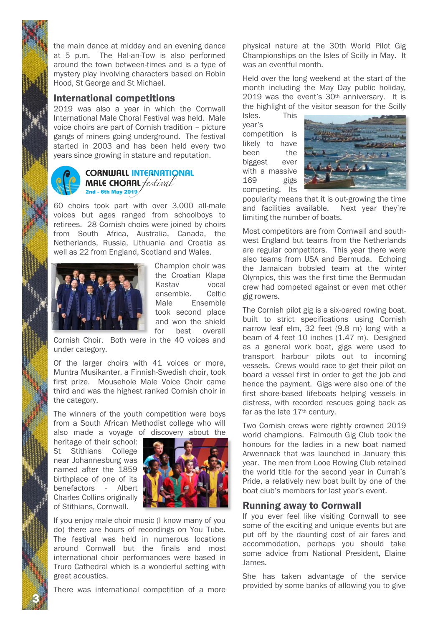the main dance at midday and an evening dance at 5 p.m. The Hal-an-Tow is also performed around the town between-times and is a type of mystery play involving characters based on Robin Hood, St George and St Michael.

#### International competitions

2019 was also a year in which the Cornwall International Male Choral Festival was held. Male voice choirs are part of Cornish tradition – picture gangs of miners going underground. The festival started in 2003 and has been held every two years since growing in stature and reputation.



#### **CORNWALL INTERNATIONAL MALE CHORAL** *festival* 2nd - 6th May 2019

60 choirs took part with over 3,000 all-male voices but ages ranged from schoolboys to retirees. 28 Cornish choirs were joined by choirs from South Africa, Australia, Canada, the Netherlands, Russia, Lithuania and Croatia as well as 22 from England, Scotland and Wales.



Champion choir was the Croatian Klapa Kastav vocal ensemble. Celtic Male Ensemble took second place and won the shield for best overall

Cornish Choir. Both were in the 40 voices and under category.

Of the larger choirs with 41 voices or more, Muntra Musikanter, a Finnish-Swedish choir, took first prize. Mousehole Male Voice Choir came third and was the highest ranked Cornish choir in the category.

The winners of the youth competition were boys from a South African Methodist college who will also made a voyage of discovery about the

heritage of their school: St Stithians College near Johannesburg was named after the 1859 birthplace of one of its benefactors - Albert Charles Collins originally of Stithians, Cornwall.

3 N



If you enjoy male choir music (I know many of you do) there are hours of recordings on You Tube. The festival was held in numerous locations around Cornwall but the finals and most international choir performances were based in Truro Cathedral which is a wonderful setting with great acoustics.

There was international competition of a more

physical nature at the 30th World Pilot Gig Championships on the Isles of Scilly in May. It was an eventful month.

Held over the long weekend at the start of the month including the May Day public holiday, 2019 was the event's 30th anniversary. It is the highlight of the visitor season for the Scilly

Isles. This year's competition is likely to have been the biggest ever with a massive 169 gigs competing. Its



popularity means that it is out-growing the time and facilities available. Next year they're limiting the number of boats.

Most competitors are from Cornwall and southwest England but teams from the Netherlands are regular competitors. This year there were also teams from USA and Bermuda. Echoing the Jamaican bobsled team at the winter Olympics, this was the first time the Bermudan crew had competed against or even met other gig rowers.

The Cornish pilot gig is a six-oared rowing boat, built to strict specifications using Cornish narrow leaf elm, 32 feet (9.8 m) long with a beam of 4 feet 10 inches (1.47 m). Designed as a general work boat, gigs were used to transport harbour pilots out to incoming vessels. Crews would race to get their pilot on board a vessel first in order to get the job and hence the payment. Gigs were also one of the first shore-based lifeboats helping vessels in distress, with recorded rescues going back as far as the late 17<sup>th</sup> century.

Two Cornish crews were rightly crowned 2019 world champions. Falmouth Gig Club took the honours for the ladies in a new boat named Arwennack that was launched in January this year. The men from Looe Rowing Club retained the world title for the second year in Currah's Pride, a relatively new boat built by one of the boat club's members for last year's event.

### Running away to Cornwall

If you ever feel like visiting Cornwall to see some of the exciting and unique events but are put off by the daunting cost of air fares and accommodation, perhaps you should take some advice from National President, Elaine James.

She has taken advantage of the service provided by some banks of allowing you to give